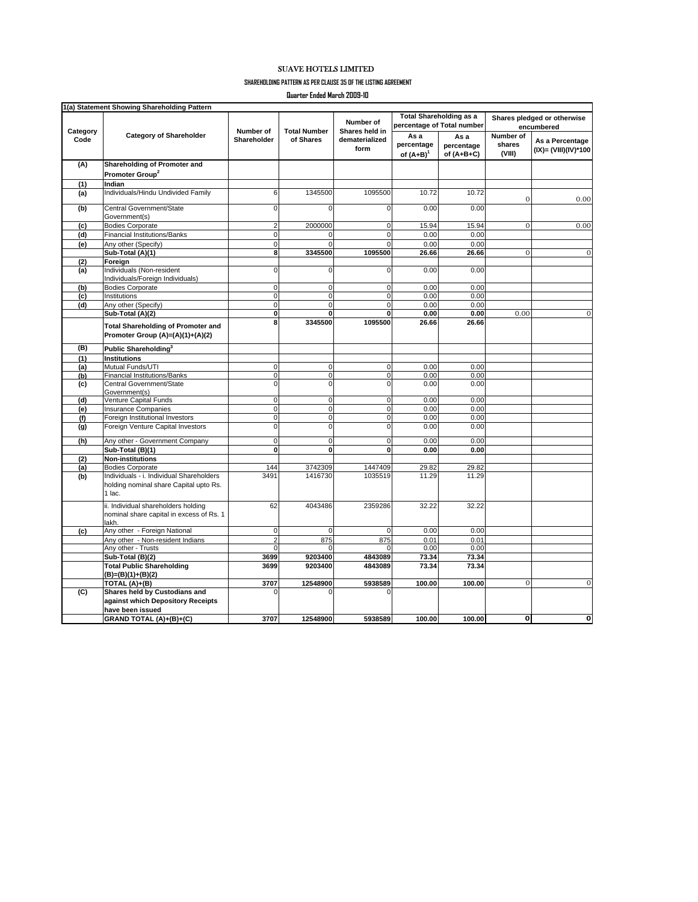## SUAVE HOTELS LIMITED

## **SHAREHOLDING PATTERN AS PER CLAUSE 35 OF THE LISTING AGREEMENT**

**Quarter Ended March 2009-10**

| Category<br>Code | <b>Category of Shareholder</b>                                                               | Number of<br>Shareholder | <b>Total Number</b><br>of Shares | Number of<br>Shares held in<br>dematerialized<br>form | <b>Total Shareholding as a</b><br>percentage of Total number |                                    | Shares pledged or otherwise<br>encumbered |                                         |
|------------------|----------------------------------------------------------------------------------------------|--------------------------|----------------------------------|-------------------------------------------------------|--------------------------------------------------------------|------------------------------------|-------------------------------------------|-----------------------------------------|
|                  |                                                                                              |                          |                                  |                                                       | Asa<br>percentage<br>of $(A+B)^{1}$                          | As a<br>percentage<br>of $(A+B+C)$ | Number of<br>shares<br>(VIII)             | As a Percentage<br>(IX)= (VIII)(IV)*100 |
| (A)              | Shareholding of Promoter and                                                                 |                          |                                  |                                                       |                                                              |                                    |                                           |                                         |
|                  | Promoter Group <sup>2</sup>                                                                  |                          |                                  |                                                       |                                                              |                                    |                                           |                                         |
| (1)              | Indian                                                                                       |                          |                                  |                                                       |                                                              |                                    |                                           |                                         |
| (a)              | Individuals/Hindu Undivided Family                                                           | 6                        | 1345500                          | 1095500                                               | 10.72                                                        | 10.72                              | $\mathbf{0}$                              | 0.00                                    |
| (b)              | Central Government/State<br>Government(s)                                                    | $\mathbf 0$              | $\Omega$                         | $\mathbf 0$                                           | 0.00                                                         | 0.00                               |                                           |                                         |
| (c)              | <b>Bodies Corporate</b>                                                                      | $\overline{2}$           | 2000000                          | $\mathbf 0$                                           | 15.94                                                        | 15.94                              | $\mathbf{O}$                              | 0.00                                    |
| (d)              | <b>Financial Institutions/Banks</b>                                                          | $\mathbf 0$              | $\Omega$                         | $\mathbf 0$                                           | 0.00                                                         | 0.00                               |                                           |                                         |
| (e)              | Any other (Specify)                                                                          | $\mathbf 0$              | $\Omega$                         | $\Omega$                                              | 0.00                                                         | 0.00                               |                                           |                                         |
|                  | Sub-Total (A)(1)                                                                             | 8                        | 3345500                          | 1095500                                               | 26.66                                                        | 26.66                              | $\overline{0}$                            | $\overline{0}$                          |
| (2)              | Foreign                                                                                      |                          |                                  |                                                       |                                                              |                                    |                                           |                                         |
| (a)              | Individuals (Non-resident<br>Individuals/Foreign Individuals)                                | $\mathbf 0$              | 0                                | 0                                                     | 0.00                                                         | 0.00                               |                                           |                                         |
| (b)              | <b>Bodies Corporate</b>                                                                      | $\mathbf 0$              | 0                                | 0                                                     | 0.00                                                         | 0.00                               |                                           |                                         |
| (c)              | Institutions                                                                                 | $\mathbf 0$              | $\pmb{0}$                        | $\mathbf 0$                                           | 0.00                                                         | 0.00                               |                                           |                                         |
| (d)              | Any other (Specify)                                                                          | $\mathbf 0$              | $\mathbf 0$                      | 0                                                     | 0.00                                                         | 0.00                               |                                           |                                         |
|                  | Sub-Total (A)(2)                                                                             | $\pmb{0}$                | $\mathbf{0}$                     | $\mathbf{0}$                                          | 0.00                                                         | 0.00                               | 0.00                                      | $\mathbf{0}$                            |
|                  | <b>Total Shareholding of Promoter and</b><br>Promoter Group (A)=(A)(1)+(A)(2)                | 8                        | 3345500                          | 1095500                                               | 26.66                                                        | 26.66                              |                                           |                                         |
| (B)              | Public Shareholding <sup>3</sup>                                                             |                          |                                  |                                                       |                                                              |                                    |                                           |                                         |
| (1)              | <b>Institutions</b>                                                                          |                          |                                  |                                                       |                                                              |                                    |                                           |                                         |
| (a)              | Mutual Funds/UTI                                                                             | $\pmb{0}$                | 0                                | 0                                                     | 0.00                                                         | 0.00                               |                                           |                                         |
| (b)              | <b>Financial Institutions/Banks</b>                                                          | $\mathbf 0$              | $\mathbf 0$                      | $\mathbf 0$                                           | 0.00                                                         | 0.00                               |                                           |                                         |
| (c)              | Central Government/State<br>Government(s)                                                    | $\mathbf 0$              | $\mathbf 0$                      | 0                                                     | 0.00                                                         | 0.00                               |                                           |                                         |
| (d)              | Venture Capital Funds                                                                        | $\mathbf 0$              | $\pmb{0}$                        | $\mathbf 0$                                           | 0.00                                                         | 0.00                               |                                           |                                         |
| (e)              | <b>Insurance Companies</b>                                                                   | $\mathbf 0$              | 0                                | 0                                                     | 0.00                                                         | 0.00                               |                                           |                                         |
| (f)              | Foreign Institutional Investors                                                              | $\mathbf 0$              | $\pmb{0}$                        | $\mathbf 0$                                           | 0.00                                                         | 0.00                               |                                           |                                         |
| (g)              | Foreign Venture Capital Investors                                                            | $\mathbf 0$              | $\mathbf 0$                      | $\mathbf 0$                                           | 0.00                                                         | 0.00                               |                                           |                                         |
| (h)              | Any other - Government Company                                                               | $\pmb{0}$                | 0                                | 0                                                     | 0.00                                                         | 0.00                               |                                           |                                         |
|                  | Sub-Total (B)(1)                                                                             | $\mathbf 0$              | 0                                | 0                                                     | 0.00                                                         | 0.00                               |                                           |                                         |
| (2)              | <b>Non-institutions</b>                                                                      | 144                      | 3742309                          | 1447409                                               | 29.82                                                        | 29.82                              |                                           |                                         |
| (a)              | <b>Bodies Corporate</b>                                                                      | 3491                     | 1416730                          | 1035519                                               | 11.29                                                        | 11.29                              |                                           |                                         |
| (b)              | Individuals - i. Individual Shareholders<br>holding nominal share Capital upto Rs.<br>1 lac. |                          |                                  |                                                       |                                                              |                                    |                                           |                                         |
|                  | ii. Individual shareholders holding<br>nominal share capital in excess of Rs. 1<br>lakh.     | 62                       | 4043486                          | 2359286                                               | 32.22                                                        | 32.22                              |                                           |                                         |
| (c)              | Any other - Foreign National                                                                 | $\mathbf 0$              | $\mathbf 0$                      | $\Omega$                                              | 0.00                                                         | 0.00                               |                                           |                                         |
|                  | Any other - Non-resident Indians                                                             | $\overline{2}$           | 875                              | 875                                                   | 0.01                                                         | 0.01                               |                                           |                                         |
|                  | Any other - Trusts                                                                           | $\mathbf 0$              | $\Omega$                         | $\Omega$                                              | 0.00                                                         | 0.00                               |                                           |                                         |
|                  | Sub-Total (B)(2)                                                                             | 3699                     | 9203400                          | 4843089                                               | 73.34                                                        | 73.34                              |                                           |                                         |
|                  | <b>Total Public Shareholding</b><br>(B)=(B)(1)+(B)(2)                                        | 3699                     | 9203400                          | 4843089                                               | 73.34                                                        | 73.34                              |                                           |                                         |
|                  | TOTAL (A)+(B)                                                                                | 3707                     | 12548900                         | 5938589                                               | 100.00                                                       | 100.00                             | $\Omega$                                  | $\mathbf 0$                             |
| (C)              | Shares held by Custodians and<br>against which Depository Receipts<br>have been issued       |                          |                                  |                                                       |                                                              |                                    |                                           |                                         |
|                  | GRAND TOTAL (A)+(B)+(C)                                                                      | 3707                     | 12548900                         | 5938589                                               | 100.00                                                       | 100.00                             | $\mathbf{o}$                              | $\mathbf{o}$                            |
|                  |                                                                                              |                          |                                  |                                                       |                                                              |                                    |                                           |                                         |